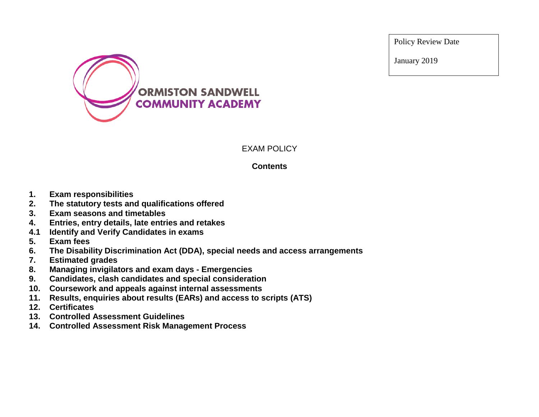Policy Review Date

January 2019



## EXAM POLICY

## **Contents**

- **1. Exam responsibilities**
- **2. The statutory tests and qualifications offered**
- **3. Exam seasons and timetables**
- **4. Entries, entry details, late entries and retakes**
- **4.1 Identify and Verify Candidates in exams**
- **5. Exam fees**
- **6. The Disability Discrimination Act (DDA), special needs and access arrangements**
- **7. Estimated grades**
- **8. Managing invigilators and exam days - Emergencies**
- **9. Candidates, clash candidates and special consideration**
- **10. Coursework and appeals against internal assessments**
- **11. Results, enquiries about results (EARs) and access to scripts (ATS)**
- **12. Certificates**
- **13. Controlled Assessment Guidelines**
- **14. Controlled Assessment Risk Management Process**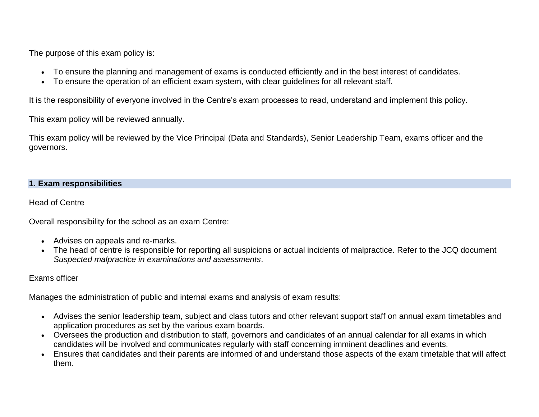The purpose of this exam policy is:

- To ensure the planning and management of exams is conducted efficiently and in the best interest of candidates.
- To ensure the operation of an efficient exam system, with clear guidelines for all relevant staff.

It is the responsibility of everyone involved in the Centre's exam processes to read, understand and implement this policy.

This exam policy will be reviewed annually.

This exam policy will be reviewed by the Vice Principal (Data and Standards), Senior Leadership Team, exams officer and the governors.

### **1. Exam responsibilities**

Head of Centre

Overall responsibility for the school as an exam Centre:

- Advises on appeals and re-marks.
- The head of centre is responsible for reporting all suspicions or actual incidents of malpractice. Refer to the JCQ document *Suspected malpractice in examinations and assessments*.

Exams officer

Manages the administration of public and internal exams and analysis of exam results:

- Advises the senior leadership team, subject and class tutors and other relevant support staff on annual exam timetables and application procedures as set by the various exam boards.
- Oversees the production and distribution to staff, governors and candidates of an annual calendar for all exams in which candidates will be involved and communicates regularly with staff concerning imminent deadlines and events.
- Ensures that candidates and their parents are informed of and understand those aspects of the exam timetable that will affect them.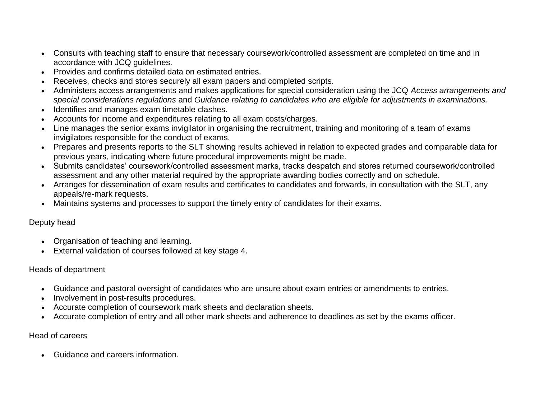- Consults with teaching staff to ensure that necessary coursework/controlled assessment are completed on time and in accordance with JCQ guidelines.
- Provides and confirms detailed data on estimated entries.
- Receives, checks and stores securely all exam papers and completed scripts.
- Administers access arrangements and makes applications for special consideration using the JCQ *Access arrangements and special considerations regulations* and *Guidance relating to candidates who are eligible for adjustments in examinations.*
- Identifies and manages exam timetable clashes.
- Accounts for income and expenditures relating to all exam costs/charges.
- Line manages the senior exams invigilator in organising the recruitment, training and monitoring of a team of exams invigilators responsible for the conduct of exams.
- Prepares and presents reports to the SLT showing results achieved in relation to expected grades and comparable data for previous years, indicating where future procedural improvements might be made.
- Submits candidates' coursework/controlled assessment marks, tracks despatch and stores returned coursework/controlled assessment and any other material required by the appropriate awarding bodies correctly and on schedule.
- Arranges for dissemination of exam results and certificates to candidates and forwards, in consultation with the SLT, any appeals/re-mark requests.
- Maintains systems and processes to support the timely entry of candidates for their exams.

## Deputy head

- Organisation of teaching and learning.
- External validation of courses followed at key stage 4.

## Heads of department

- Guidance and pastoral oversight of candidates who are unsure about exam entries or amendments to entries.
- Involvement in post-results procedures.
- Accurate completion of coursework mark sheets and declaration sheets.
- Accurate completion of entry and all other mark sheets and adherence to deadlines as set by the exams officer.

## Head of careers

Guidance and careers information.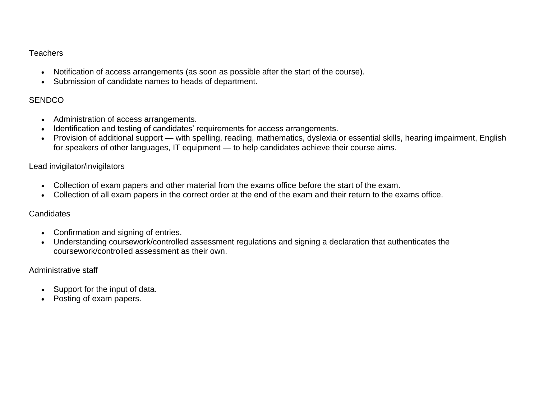## **Teachers**

- Notification of access arrangements (as soon as possible after the start of the course).
- Submission of candidate names to heads of department.

## **SENDCO**

- Administration of access arrangements.
- Identification and testing of candidates' requirements for access arrangements.
- Provision of additional support with spelling, reading, mathematics, dyslexia or essential skills, hearing impairment, English for speakers of other languages, IT equipment — to help candidates achieve their course aims.

### Lead invigilator/invigilators

- Collection of exam papers and other material from the exams office before the start of the exam.
- Collection of all exam papers in the correct order at the end of the exam and their return to the exams office.

### **Candidates**

- Confirmation and signing of entries.
- Understanding coursework/controlled assessment regulations and signing a declaration that authenticates the coursework/controlled assessment as their own.

### Administrative staff

- Support for the input of data.
- Posting of exam papers.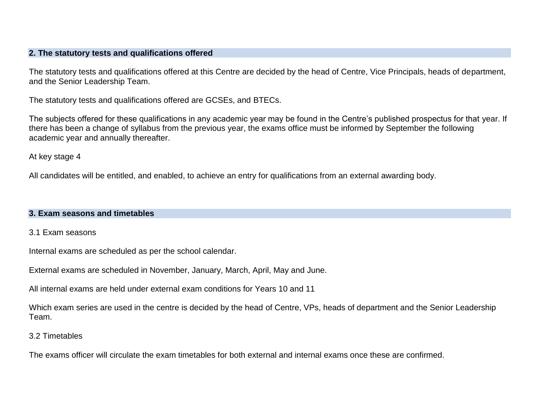#### **2. The statutory tests and qualifications offered**

The statutory tests and qualifications offered at this Centre are decided by the head of Centre, Vice Principals, heads of department, and the Senior Leadership Team.

The statutory tests and qualifications offered are GCSEs, and BTECs.

The subjects offered for these qualifications in any academic year may be found in the Centre's published prospectus for that year. If there has been a change of syllabus from the previous year, the exams office must be informed by September the following academic year and annually thereafter.

At key stage 4

All candidates will be entitled, and enabled, to achieve an entry for qualifications from an external awarding body.

#### **3. Exam seasons and timetables**

### 3.1 Exam seasons

Internal exams are scheduled as per the school calendar.

External exams are scheduled in November, January, March, April, May and June.

All internal exams are held under external exam conditions for Years 10 and 11

Which exam series are used in the centre is decided by the head of Centre, VPs, heads of department and the Senior Leadership Team.

#### 3.2 Timetables

The exams officer will circulate the exam timetables for both external and internal exams once these are confirmed.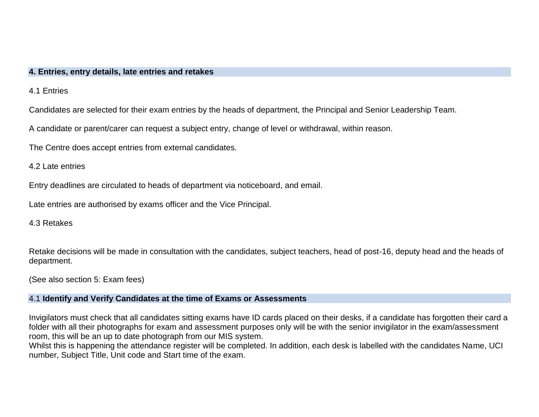#### **4. Entries, entry details, late entries and retakes**

4.1 Entries

Candidates are selected for their exam entries by the heads of department, the Principal and Senior Leadership Team.

A candidate or parent/carer can request a subject entry, change of level or withdrawal, within reason.

The Centre does accept entries from external candidates.

4.2 Late entries

Entry deadlines are circulated to heads of department via noticeboard, and email.

Late entries are authorised by exams officer and the Vice Principal.

4.3 Retakes

Retake decisions will be made in consultation with the candidates, subject teachers, head of post-16, deputy head and the heads of department.

(See also section 5: Exam fees)

#### 4.1 **Identify and Verify Candidates at the time of Exams or Assessments**

Invigilators must check that all candidates sitting exams have ID cards placed on their desks, if a candidate has forgotten their card a folder with all their photographs for exam and assessment purposes only will be with the senior invigilator in the exam/assessment room, this will be an up to date photograph from our MIS system.

Whilst this is happening the attendance register will be completed. In addition, each desk is labelled with the candidates Name, UCI number, Subject Title, Unit code and Start time of the exam.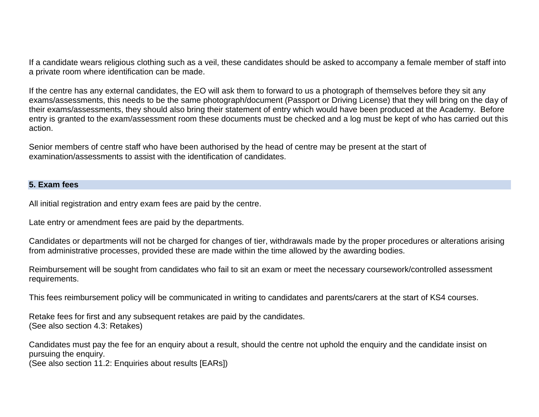If a candidate wears religious clothing such as a veil, these candidates should be asked to accompany a female member of staff into a private room where identification can be made.

If the centre has any external candidates, the EO will ask them to forward to us a photograph of themselves before they sit any exams/assessments, this needs to be the same photograph/document (Passport or Driving License) that they will bring on the day of their exams/assessments, they should also bring their statement of entry which would have been produced at the Academy. Before entry is granted to the exam/assessment room these documents must be checked and a log must be kept of who has carried out this action.

Senior members of centre staff who have been authorised by the head of centre may be present at the start of examination/assessments to assist with the identification of candidates.

#### **5. Exam fees**

All initial registration and entry exam fees are paid by the centre.

Late entry or amendment fees are paid by the departments.

Candidates or departments will not be charged for changes of tier, withdrawals made by the proper procedures or alterations arising from administrative processes, provided these are made within the time allowed by the awarding bodies.

Reimbursement will be sought from candidates who fail to sit an exam or meet the necessary coursework/controlled assessment requirements.

This fees reimbursement policy will be communicated in writing to candidates and parents/carers at the start of KS4 courses.

Retake fees for first and any subsequent retakes are paid by the candidates. (See also section 4.3: Retakes)

Candidates must pay the fee for an enquiry about a result, should the centre not uphold the enquiry and the candidate insist on pursuing the enquiry.

(See also section 11.2: Enquiries about results [EARs])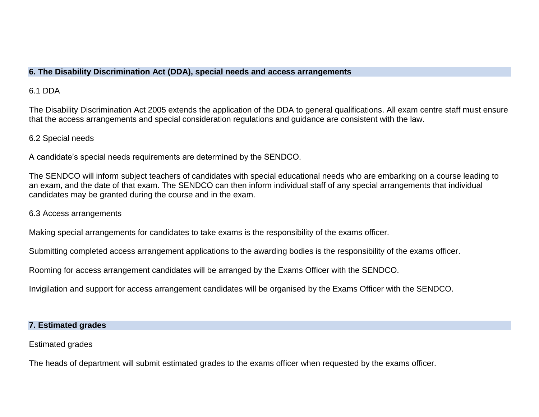### **6. The Disability Discrimination Act (DDA), special needs and access arrangements**

## 6.1 DDA

The Disability Discrimination Act 2005 extends the application of the DDA to general qualifications. All exam centre staff must ensure that the access arrangements and special consideration regulations and guidance are consistent with the law.

## 6.2 Special needs

A candidate's special needs requirements are determined by the SENDCO.

The SENDCO will inform subject teachers of candidates with special educational needs who are embarking on a course leading to an exam, and the date of that exam. The SENDCO can then inform individual staff of any special arrangements that individual candidates may be granted during the course and in the exam.

## 6.3 Access arrangements

Making special arrangements for candidates to take exams is the responsibility of the exams officer.

Submitting completed access arrangement applications to the awarding bodies is the responsibility of the exams officer.

Rooming for access arrangement candidates will be arranged by the Exams Officer with the SENDCO.

Invigilation and support for access arrangement candidates will be organised by the Exams Officer with the SENDCO.

## **7. Estimated grades**

Estimated grades

The heads of department will submit estimated grades to the exams officer when requested by the exams officer.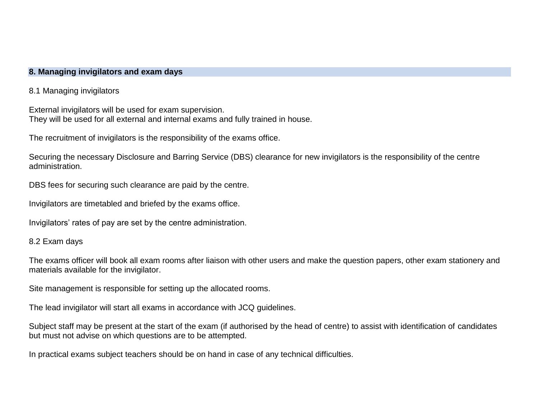#### **8. Managing invigilators and exam days**

8.1 Managing invigilators

External invigilators will be used for exam supervision. They will be used for all external and internal exams and fully trained in house.

The recruitment of invigilators is the responsibility of the exams office.

Securing the necessary Disclosure and Barring Service (DBS) clearance for new invigilators is the responsibility of the centre administration.

DBS fees for securing such clearance are paid by the centre.

Invigilators are timetabled and briefed by the exams office.

Invigilators' rates of pay are set by the centre administration.

#### 8.2 Exam days

The exams officer will book all exam rooms after liaison with other users and make the question papers, other exam stationery and materials available for the invigilator.

Site management is responsible for setting up the allocated rooms.

The lead invigilator will start all exams in accordance with JCQ guidelines.

Subject staff may be present at the start of the exam (if authorised by the head of centre) to assist with identification of candidates but must not advise on which questions are to be attempted.

In practical exams subject teachers should be on hand in case of any technical difficulties.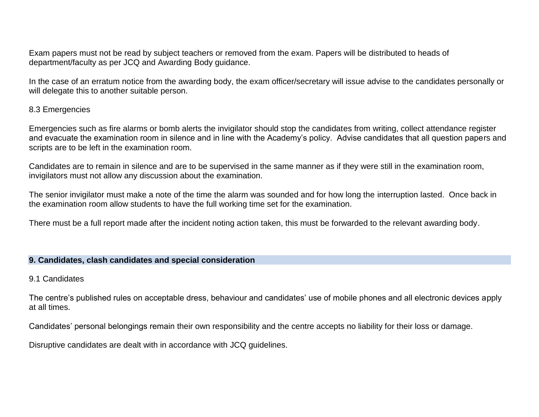Exam papers must not be read by subject teachers or removed from the exam. Papers will be distributed to heads of department/faculty as per JCQ and Awarding Body guidance.

In the case of an erratum notice from the awarding body, the exam officer/secretary will issue advise to the candidates personally or will delegate this to another suitable person.

#### 8.3 Emergencies

Emergencies such as fire alarms or bomb alerts the invigilator should stop the candidates from writing, collect attendance register and evacuate the examination room in silence and in line with the Academy's policy. Advise candidates that all question papers and scripts are to be left in the examination room.

Candidates are to remain in silence and are to be supervised in the same manner as if they were still in the examination room, invigilators must not allow any discussion about the examination.

The senior invigilator must make a note of the time the alarm was sounded and for how long the interruption lasted. Once back in the examination room allow students to have the full working time set for the examination.

There must be a full report made after the incident noting action taken, this must be forwarded to the relevant awarding body.

#### **9. Candidates, clash candidates and special consideration**

#### 9.1 Candidates

The centre's published rules on acceptable dress, behaviour and candidates' use of mobile phones and all electronic devices apply at all times.

Candidates' personal belongings remain their own responsibility and the centre accepts no liability for their loss or damage.

Disruptive candidates are dealt with in accordance with JCQ guidelines.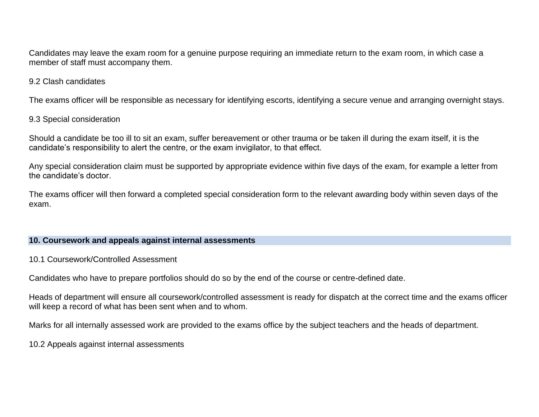Candidates may leave the exam room for a genuine purpose requiring an immediate return to the exam room, in which case a member of staff must accompany them.

### 9.2 Clash candidates

The exams officer will be responsible as necessary for identifying escorts, identifying a secure venue and arranging overnight stays.

### 9.3 Special consideration

Should a candidate be too ill to sit an exam, suffer bereavement or other trauma or be taken ill during the exam itself, it is the candidate's responsibility to alert the centre, or the exam invigilator, to that effect.

Any special consideration claim must be supported by appropriate evidence within five days of the exam, for example a letter from the candidate's doctor.

The exams officer will then forward a completed special consideration form to the relevant awarding body within seven days of the exam.

### **10. Coursework and appeals against internal assessments**

### 10.1 Coursework/Controlled Assessment

Candidates who have to prepare portfolios should do so by the end of the course or centre-defined date.

Heads of department will ensure all coursework/controlled assessment is ready for dispatch at the correct time and the exams officer will keep a record of what has been sent when and to whom.

Marks for all internally assessed work are provided to the exams office by the subject teachers and the heads of department.

10.2 Appeals against internal assessments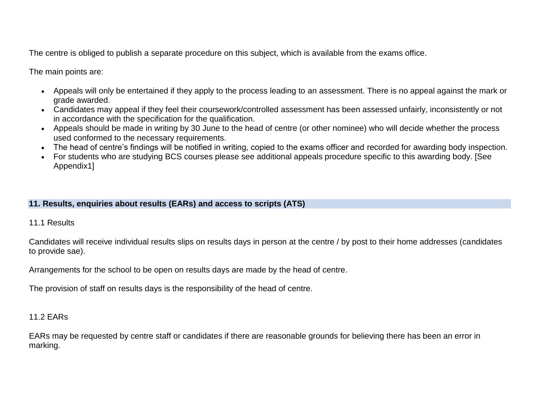The centre is obliged to publish a separate procedure on this subject, which is available from the exams office.

The main points are:

- Appeals will only be entertained if they apply to the process leading to an assessment. There is no appeal against the mark or grade awarded.
- Candidates may appeal if they feel their coursework/controlled assessment has been assessed unfairly, inconsistently or not in accordance with the specification for the qualification.
- Appeals should be made in writing by 30 June to the head of centre (or other nominee) who will decide whether the process used conformed to the necessary requirements.
- The head of centre's findings will be notified in writing, copied to the exams officer and recorded for awarding body inspection.
- For students who are studying BCS courses please see additional appeals procedure specific to this awarding body. [See Appendix1]

## **11. Results, enquiries about results (EARs) and access to scripts (ATS)**

## 11.1 Results

Candidates will receive individual results slips on results days in person at the centre / by post to their home addresses (candidates to provide sae).

Arrangements for the school to be open on results days are made by the head of centre.

The provision of staff on results days is the responsibility of the head of centre.

## 11.2 EARs

EARs may be requested by centre staff or candidates if there are reasonable grounds for believing there has been an error in marking.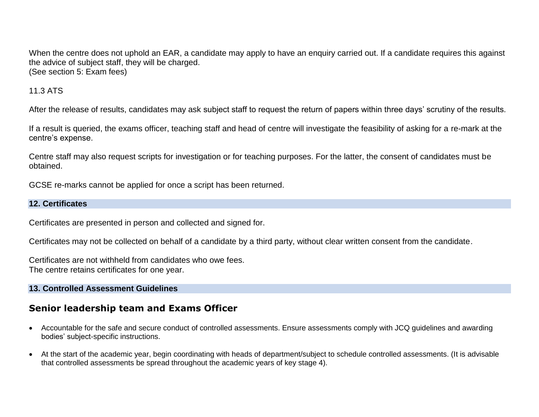When the centre does not uphold an EAR, a candidate may apply to have an enquiry carried out. If a candidate requires this against the advice of subject staff, they will be charged. (See section 5: Exam fees)

## 11.3 ATS

After the release of results, candidates may ask subject staff to request the return of papers within three days' scrutiny of the results.

If a result is queried, the exams officer, teaching staff and head of centre will investigate the feasibility of asking for a re-mark at the centre's expense.

Centre staff may also request scripts for investigation or for teaching purposes. For the latter, the consent of candidates must be obtained.

GCSE re-marks cannot be applied for once a script has been returned.

### **12. Certificates**

Certificates are presented in person and collected and signed for.

Certificates may not be collected on behalf of a candidate by a third party, without clear written consent from the candidate.

Certificates are not withheld from candidates who owe fees. The centre retains certificates for one year.

## **13. Controlled Assessment Guidelines**

## **Senior leadership team and Exams Officer**

- Accountable for the safe and secure conduct of controlled assessments. Ensure assessments comply with JCQ guidelines and awarding bodies' subject-specific instructions.
- At the start of the academic year, begin coordinating with heads of department/subject to schedule controlled assessments. (It is advisable that controlled assessments be spread throughout the academic years of key stage 4).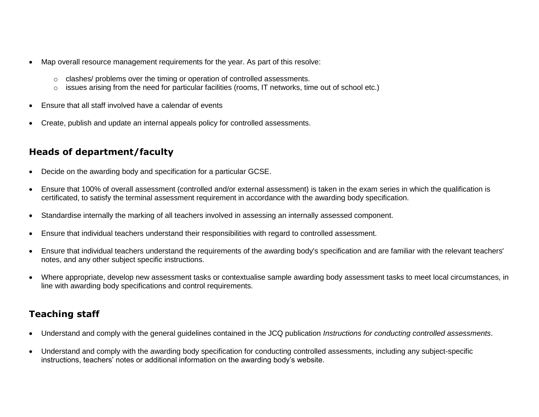- Map overall resource management requirements for the year. As part of this resolve:
	- o clashes/ problems over the timing or operation of controlled assessments.
	- $\circ$  issues arising from the need for particular facilities (rooms, IT networks, time out of school etc.)
- Ensure that all staff involved have a calendar of events
- Create, publish and update an internal appeals policy for controlled assessments.

# **Heads of department/faculty**

- Decide on the awarding body and specification for a particular GCSE.
- Ensure that 100% of overall assessment (controlled and/or external assessment) is taken in the exam series in which the qualification is certificated, to satisfy the terminal assessment requirement in accordance with the awarding body specification.
- Standardise internally the marking of all teachers involved in assessing an internally assessed component.
- Ensure that individual teachers understand their responsibilities with regard to controlled assessment.
- Ensure that individual teachers understand the requirements of the awarding body's specification and are familiar with the relevant teachers' notes, and any other subject specific instructions.
- Where appropriate, develop new assessment tasks or contextualise sample awarding body assessment tasks to meet local circumstances, in line with awarding body specifications and control requirements.

# **Teaching staff**

- Understand and comply with the general guidelines contained in the JCQ publication *Instructions for conducting controlled assessments*.
- Understand and comply with the awarding body specification for conducting controlled assessments, including any subject-specific instructions, teachers' notes or additional information on the awarding body's website.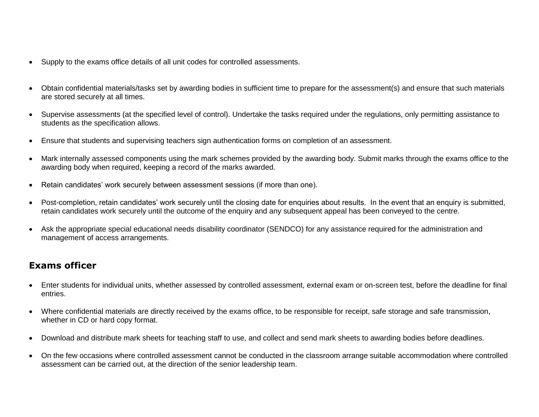- Supply to the exams office details of all unit codes for controlled assessments.
- Obtain confidential materials/tasks set by awarding bodies in sufficient time to prepare for the assessment(s) and ensure that such materials are stored securely at all times.
- Supervise assessments (at the specified level of control). Undertake the tasks required under the regulations, only permitting assistance to students as the specification allows.
- Ensure that students and supervising teachers sign authentication forms on completion of an assessment.
- Mark internally assessed components using the mark schemes provided by the awarding body. Submit marks through the exams office to the awarding body when required, keeping a record of the marks awarded.
- Retain candidates' work securely between assessment sessions (if more than one).
- Post-completion, retain candidates' work securely until the closing date for enquiries about results. In the event that an enquiry is submitted, retain candidates work securely until the outcome of the enquiry and any subsequent appeal has been conveyed to the centre.
- Ask the appropriate special educational needs disability coordinator (SENDCO) for any assistance required for the administration and management of access arrangements.

## **Exams officer**

- Enter students for individual units, whether assessed by controlled assessment, external exam or on-screen test, before the deadline for final entries.
- Where confidential materials are directly received by the exams office, to be responsible for receipt, safe storage and safe transmission, whether in CD or hard copy format.
- Download and distribute mark sheets for teaching staff to use, and collect and send mark sheets to awarding bodies before deadlines.
- On the few occasions where controlled assessment cannot be conducted in the classroom arrange suitable accommodation where controlled assessment can be carried out, at the direction of the senior leadership team.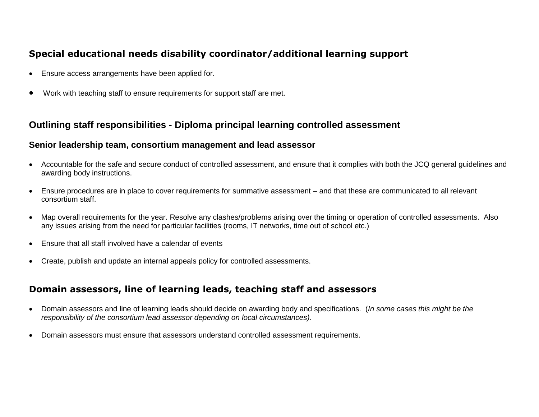## **Special educational needs disability coordinator/additional learning support**

- Ensure access arrangements have been applied for.
- Work with teaching staff to ensure requirements for support staff are met.

## **Outlining staff responsibilities** *-* **Diploma principal learning controlled assessment**

## **Senior leadership team, consortium management and lead assessor**

- Accountable for the safe and secure conduct of controlled assessment, and ensure that it complies with both the JCQ general guidelines and awarding body instructions.
- Ensure procedures are in place to cover requirements for summative assessment and that these are communicated to all relevant consortium staff.
- Map overall requirements for the year. Resolve any clashes/problems arising over the timing or operation of controlled assessments. Also any issues arising from the need for particular facilities (rooms, IT networks, time out of school etc.)
- Ensure that all staff involved have a calendar of events
- Create, publish and update an internal appeals policy for controlled assessments.

## **Domain assessors, line of learning leads, teaching staff and assessors**

- Domain assessors and line of learning leads should decide on awarding body and specifications. (*In some cases this might be the responsibility of the consortium lead assessor depending on local circumstances).*
- Domain assessors must ensure that assessors understand controlled assessment requirements.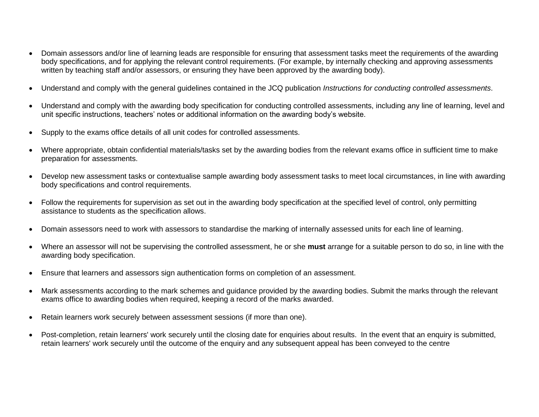- Domain assessors and/or line of learning leads are responsible for ensuring that assessment tasks meet the requirements of the awarding body specifications, and for applying the relevant control requirements. (For example, by internally checking and approving assessments written by teaching staff and/or assessors, or ensuring they have been approved by the awarding body).
- Understand and comply with the general guidelines contained in the JCQ publication *Instructions for conducting controlled assessments*.
- Understand and comply with the awarding body specification for conducting controlled assessments, including any line of learning, level and unit specific instructions, teachers' notes or additional information on the awarding body's website.
- Supply to the exams office details of all unit codes for controlled assessments.
- Where appropriate, obtain confidential materials/tasks set by the awarding bodies from the relevant exams office in sufficient time to make preparation for assessments.
- Develop new assessment tasks or contextualise sample awarding body assessment tasks to meet local circumstances, in line with awarding body specifications and control requirements.
- Follow the requirements for supervision as set out in the awarding body specification at the specified level of control, only permitting assistance to students as the specification allows.
- Domain assessors need to work with assessors to standardise the marking of internally assessed units for each line of learning.
- Where an assessor will not be supervising the controlled assessment, he or she **must** arrange for a suitable person to do so, in line with the awarding body specification.
- Ensure that learners and assessors sign authentication forms on completion of an assessment.
- Mark assessments according to the mark schemes and guidance provided by the awarding bodies. Submit the marks through the relevant exams office to awarding bodies when required, keeping a record of the marks awarded.
- Retain learners work securely between assessment sessions (if more than one).
- Post-completion, retain learners' work securely until the closing date for enquiries about results. In the event that an enquiry is submitted, retain learners' work securely until the outcome of the enquiry and any subsequent appeal has been conveyed to the centre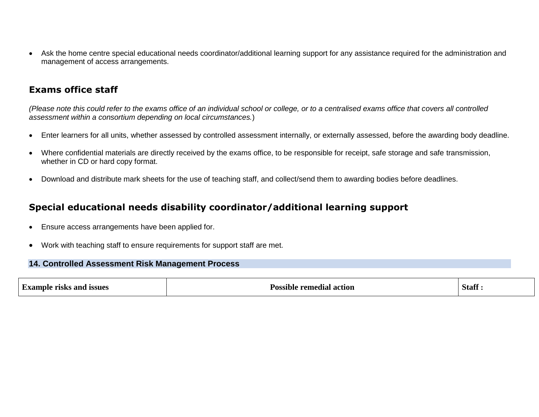Ask the home centre special educational needs coordinator/additional learning support for any assistance required for the administration and management of access arrangements.

## **Exams office staff**

*(Please note this could refer to the exams office of an individual school or college, or to a centralised exams office that covers all controlled assessment within a consortium depending on local circumstances.*)

- Enter learners for all units, whether assessed by controlled assessment internally, or externally assessed, before the awarding body deadline.
- Where confidential materials are directly received by the exams office, to be responsible for receipt, safe storage and safe transmission, whether in CD or hard copy format.
- Download and distribute mark sheets for the use of teaching staff, and collect/send them to awarding bodies before deadlines.

## **Special educational needs disability coordinator/additional learning support**

- Ensure access arrangements have been applied for.
- Work with teaching staff to ensure requirements for support staff are met.

#### **14. Controlled Assessment Risk Management Process**

| <b>Example risks and issues</b> | <b>Possible remedial action</b> | <b>Staff</b> |
|---------------------------------|---------------------------------|--------------|
|                                 |                                 |              |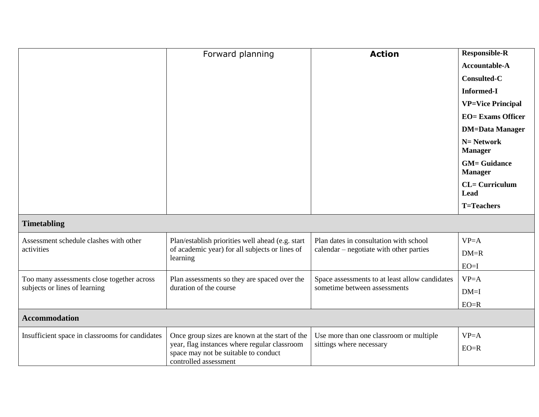|                                                                             | Forward planning                                                                                              | <b>Action</b>                                              | <b>Responsible-R</b>                  |
|-----------------------------------------------------------------------------|---------------------------------------------------------------------------------------------------------------|------------------------------------------------------------|---------------------------------------|
|                                                                             |                                                                                                               |                                                            | Accountable-A                         |
|                                                                             |                                                                                                               |                                                            | <b>Consulted-C</b>                    |
|                                                                             |                                                                                                               |                                                            | <b>Informed-I</b>                     |
|                                                                             |                                                                                                               |                                                            | <b>VP=Vice Principal</b>              |
|                                                                             |                                                                                                               |                                                            | <b>EO=</b> Exams Officer              |
|                                                                             |                                                                                                               |                                                            | <b>DM=Data Manager</b>                |
|                                                                             |                                                                                                               |                                                            | $N = Network$<br><b>Manager</b>       |
|                                                                             |                                                                                                               |                                                            | <b>GM= Guidance</b><br><b>Manager</b> |
|                                                                             |                                                                                                               |                                                            | $CL = Curriculum$<br><b>Lead</b>      |
|                                                                             |                                                                                                               |                                                            | <b>T=Teachers</b>                     |
| <b>Timetabling</b>                                                          |                                                                                                               |                                                            |                                       |
| Assessment schedule clashes with other                                      | Plan/establish priorities well ahead (e.g. start                                                              | Plan dates in consultation with school                     | $VP = A$                              |
| activities                                                                  | of academic year) for all subjects or lines of<br>learning                                                    | calendar – negotiate with other parties                    | $DM=R$                                |
|                                                                             |                                                                                                               |                                                            | $EO=I$                                |
| Too many assessments close together across<br>subjects or lines of learning | Plan assessments so they are spaced over the                                                                  | Space assessments to at least allow candidates<br>$VP = A$ |                                       |
|                                                                             | duration of the course                                                                                        | sometime between assessments                               | $DM=I$                                |
|                                                                             |                                                                                                               |                                                            | $EO=R$                                |
| <b>Accommodation</b>                                                        |                                                                                                               |                                                            |                                       |
| Insufficient space in classrooms for candidates                             | Once group sizes are known at the start of the                                                                | Use more than one classroom or multiple                    | $VP = A$                              |
|                                                                             | year, flag instances where regular classroom<br>space may not be suitable to conduct<br>controlled assessment | sittings where necessary                                   | $EO=R$                                |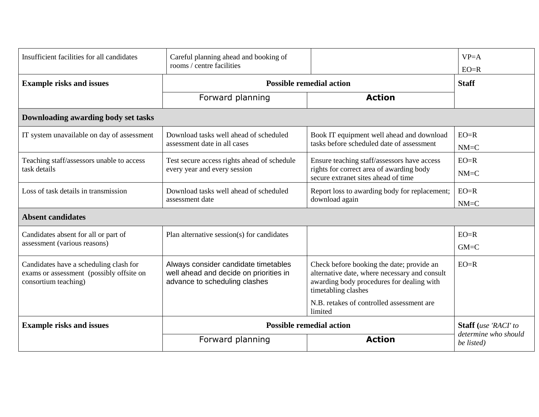| Insufficient facilities for all candidates                                                                 | Careful planning ahead and booking of<br>rooms / centre facilities                                              |                                                                                                                                                                | $VP = A$<br>$EO=R$                 |
|------------------------------------------------------------------------------------------------------------|-----------------------------------------------------------------------------------------------------------------|----------------------------------------------------------------------------------------------------------------------------------------------------------------|------------------------------------|
| <b>Example risks and issues</b>                                                                            | <b>Possible remedial action</b>                                                                                 |                                                                                                                                                                | <b>Staff</b>                       |
|                                                                                                            | Forward planning                                                                                                | <b>Action</b>                                                                                                                                                  |                                    |
| Downloading awarding body set tasks                                                                        |                                                                                                                 |                                                                                                                                                                |                                    |
| IT system unavailable on day of assessment                                                                 | Download tasks well ahead of scheduled<br>assessment date in all cases                                          | Book IT equipment well ahead and download<br>tasks before scheduled date of assessment                                                                         | $EO=R$<br>$NM=C$                   |
| Teaching staff/assessors unable to access<br>task details                                                  | Test secure access rights ahead of schedule<br>every year and every session                                     | Ensure teaching staff/assessors have access<br>rights for correct area of awarding body<br>secure extranet sites ahead of time                                 | $EO=R$<br>$NM=C$                   |
| Loss of task details in transmission                                                                       | Download tasks well ahead of scheduled<br>assessment date                                                       | Report loss to awarding body for replacement;<br>download again                                                                                                | $EO=R$<br>$NM=C$                   |
| <b>Absent candidates</b>                                                                                   |                                                                                                                 |                                                                                                                                                                |                                    |
| Candidates absent for all or part of<br>assessment (various reasons)                                       | Plan alternative session(s) for candidates                                                                      |                                                                                                                                                                | $EO=R$<br>$GM=C$                   |
| Candidates have a scheduling clash for<br>exams or assessment (possibly offsite on<br>consortium teaching) | Always consider candidate timetables<br>well ahead and decide on priorities in<br>advance to scheduling clashes | Check before booking the date; provide an<br>alternative date, where necessary and consult<br>awarding body procedures for dealing with<br>timetabling clashes | $EO=R$                             |
|                                                                                                            |                                                                                                                 | N.B. retakes of controlled assessment are<br>limited                                                                                                           |                                    |
| <b>Example risks and issues</b>                                                                            | <b>Possible remedial action</b>                                                                                 |                                                                                                                                                                | <b>Staff</b> (use 'RACI' to        |
|                                                                                                            | Forward planning                                                                                                | <b>Action</b>                                                                                                                                                  | determine who should<br>be listed) |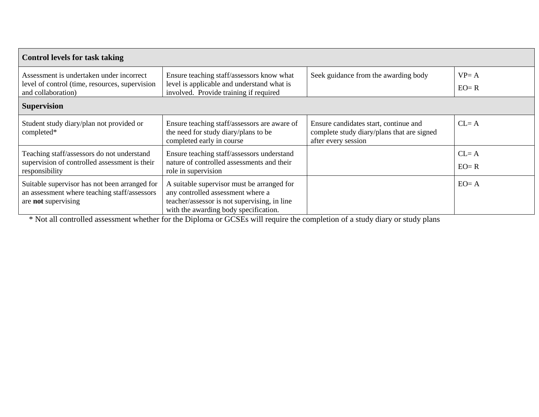| <b>Control levels for task taking</b>                                                                                |                                                                                                                                                                          |                                                                                                            |                      |
|----------------------------------------------------------------------------------------------------------------------|--------------------------------------------------------------------------------------------------------------------------------------------------------------------------|------------------------------------------------------------------------------------------------------------|----------------------|
| Assessment is undertaken under incorrect<br>level of control (time, resources, supervision<br>and collaboration)     | Ensure teaching staff/assessors know what<br>level is applicable and understand what is<br>involved. Provide training if required                                        | Seek guidance from the awarding body                                                                       | $VP = A$<br>$EO = R$ |
| <b>Supervision</b>                                                                                                   |                                                                                                                                                                          |                                                                                                            |                      |
| Student study diary/plan not provided or<br>completed*                                                               | Ensure teaching staff/assessors are aware of<br>the need for study diary/plans to be<br>completed early in course                                                        | Ensure candidates start, continue and<br>complete study diary/plans that are signed<br>after every session | $CL = A$             |
| Teaching staff/assessors do not understand<br>supervision of controlled assessment is their<br>responsibility        | Ensure teaching staff/assessors understand<br>nature of controlled assessments and their<br>role in supervision                                                          |                                                                                                            | $CL = A$<br>$EO = R$ |
| Suitable supervisor has not been arranged for<br>an assessment where teaching staff/assessors<br>are not supervising | A suitable supervisor must be arranged for<br>any controlled assessment where a<br>teacher/assessor is not supervising, in line<br>with the awarding body specification. |                                                                                                            | $EO = A$             |

\* Not all controlled assessment whether for the Diploma or GCSEs will require the completion of a study diary or study plans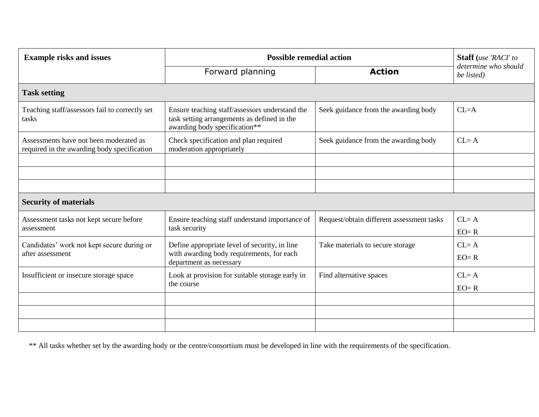| <b>Example risks and issues</b>                                                       | <b>Possible remedial action</b>                                                                                                |                                           | Staff (use 'RACI' to               |
|---------------------------------------------------------------------------------------|--------------------------------------------------------------------------------------------------------------------------------|-------------------------------------------|------------------------------------|
|                                                                                       | Forward planning                                                                                                               | <b>Action</b>                             | determine who should<br>be listed) |
| <b>Task setting</b>                                                                   |                                                                                                                                |                                           |                                    |
| Teaching staff/assessors fail to correctly set<br>tasks                               | Ensure teaching staff/assessors understand the<br>task setting arrangements as defined in the<br>awarding body specification** | Seek guidance from the awarding body      | $CL = A$                           |
| Assessments have not been moderated as<br>required in the awarding body specification | Check specification and plan required<br>moderation appropriately                                                              | Seek guidance from the awarding body      | $CL = A$                           |
|                                                                                       |                                                                                                                                |                                           |                                    |
|                                                                                       |                                                                                                                                |                                           |                                    |
|                                                                                       |                                                                                                                                |                                           |                                    |
| <b>Security of materials</b>                                                          |                                                                                                                                |                                           |                                    |
| Assessment tasks not kept secure before<br>assessment                                 | Ensure teaching staff understand importance of<br>task security                                                                | Request/obtain different assessment tasks | $CL = A$<br>$EO = R$               |
| Candidates' work not kept secure during or<br>after assessment                        | Define appropriate level of security, in line<br>with awarding body requirements, for each<br>department as necessary          | Take materials to secure storage          | $CL = A$<br>$EO = R$               |
| Insufficient or insecure storage space                                                | Look at provision for suitable storage early in<br>the course                                                                  | Find alternative spaces                   | $CL = A$<br>$EO = R$               |
|                                                                                       |                                                                                                                                |                                           |                                    |
|                                                                                       |                                                                                                                                |                                           |                                    |
|                                                                                       |                                                                                                                                |                                           |                                    |

\*\* All tasks whether set by the awarding body or the centre/consortium must be developed in line with the requirements of the specification.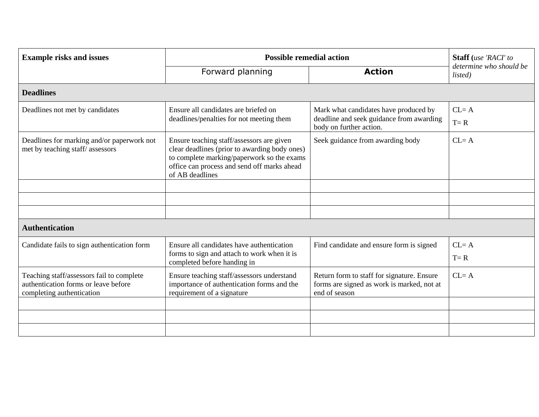| <b>Example risks and issues</b>                                                                                | <b>Possible remedial action</b>                                                                                                                                                                            |                                                                                                           | Staff (use 'RACI' to               |
|----------------------------------------------------------------------------------------------------------------|------------------------------------------------------------------------------------------------------------------------------------------------------------------------------------------------------------|-----------------------------------------------------------------------------------------------------------|------------------------------------|
|                                                                                                                | Forward planning                                                                                                                                                                                           | <b>Action</b>                                                                                             | determine who should be<br>listed) |
| <b>Deadlines</b>                                                                                               |                                                                                                                                                                                                            |                                                                                                           |                                    |
| Deadlines not met by candidates                                                                                | Ensure all candidates are briefed on<br>deadlines/penalties for not meeting them                                                                                                                           | Mark what candidates have produced by<br>deadline and seek guidance from awarding                         | $CL = A$                           |
|                                                                                                                |                                                                                                                                                                                                            | body on further action.                                                                                   | $T = R$                            |
| Deadlines for marking and/or paperwork not<br>met by teaching staff/assessors                                  | Ensure teaching staff/assessors are given<br>clear deadlines (prior to awarding body ones)<br>to complete marking/paperwork so the exams<br>office can process and send off marks ahead<br>of AB deadlines | Seek guidance from awarding body                                                                          | $CL = A$                           |
|                                                                                                                |                                                                                                                                                                                                            |                                                                                                           |                                    |
|                                                                                                                |                                                                                                                                                                                                            |                                                                                                           |                                    |
|                                                                                                                |                                                                                                                                                                                                            |                                                                                                           |                                    |
| <b>Authentication</b>                                                                                          |                                                                                                                                                                                                            |                                                                                                           |                                    |
| Candidate fails to sign authentication form                                                                    | Ensure all candidates have authentication                                                                                                                                                                  | Find candidate and ensure form is signed                                                                  | $CL = A$                           |
|                                                                                                                | forms to sign and attach to work when it is<br>completed before handing in                                                                                                                                 |                                                                                                           | $T = R$                            |
| Teaching staff/assessors fail to complete<br>authentication forms or leave before<br>completing authentication | Ensure teaching staff/assessors understand<br>importance of authentication forms and the<br>requirement of a signature                                                                                     | Return form to staff for signature. Ensure<br>forms are signed as work is marked, not at<br>end of season | $CL = A$                           |
|                                                                                                                |                                                                                                                                                                                                            |                                                                                                           |                                    |
|                                                                                                                |                                                                                                                                                                                                            |                                                                                                           |                                    |
|                                                                                                                |                                                                                                                                                                                                            |                                                                                                           |                                    |